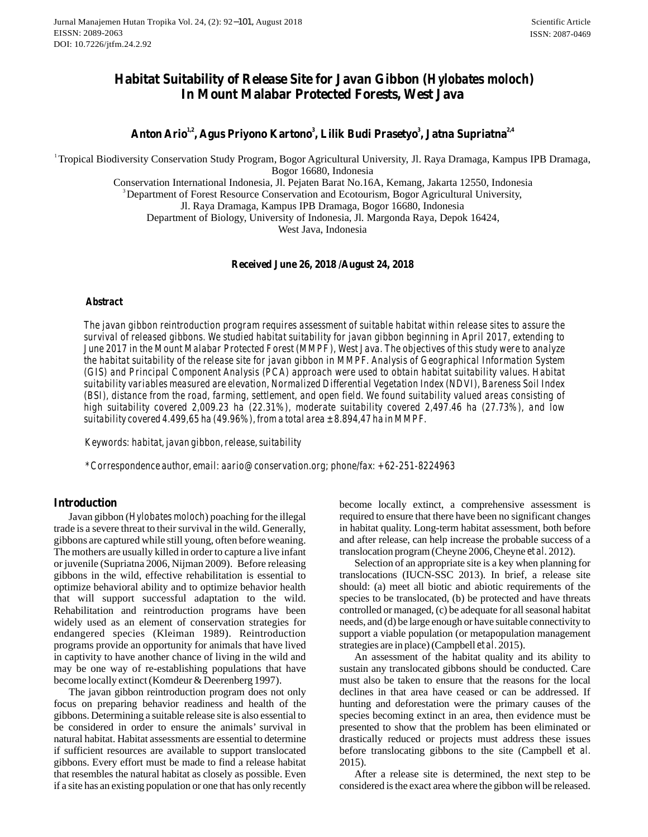# **Hutan Tropika Vol. 24, (2): 92ZKI K\#August 2018**<br> **Habitat Suitability of Release Site for Javan Gibbon (***Hylobates moloch***)<br>
<b>Habitat Suitability of Release Site for Javan Gibbon (***Hylobates moloch***)<br>
In Mount Malabar P In Mount Malabar Protected Forests, West Java Antagability of Release Site for Javan Gibbon (Hylobates moloch)**<br>In Mount Malabar Protected Forests, West Java<br>Anton Ario<sup>1,2</sup>, Agus Priyono Kartono<sup>3</sup>, Lilik Budi Prasetyo<sup>3</sup>, Jatna Supriatna<sup>2,4</sup>

<sup>1</sup> Tropical Biodiversity Conservation Study Program, Bogor Agricultural University, Jl. Raya Dramaga, Kampus IPB Dramaga, Bogor 16680, Indonesia

Conservation International Indonesia, Jl. Pejaten Barat No.16A, Kemang, Jakarta 12550, Indonesia

<sup>3</sup>Department of Forest Resource Conservation and Ecotourism, Bogor Agricultural University,

Jl. Raya Dramaga, Kampus IPB Dramaga, Bogor 16680, Indonesia

Department of Biology, University of Indonesia, Jl. Margonda Raya, Depok 16424,

West Java, Indonesia

**Received June 26, 2018 /August 24, 2018**

#### *Abstract*

*The javan gibbon reintroduction program requires assessment of suitable habitat within release sites to assure the survival of released gibbons. We studied habitat suitability for javan gibbon beginning in April 2017, extending to June 2017 in the Mount Malabar Protected Forest (MMPF), West Java. The objectives of this study were to analyze the habitat suitability of the release site for javan gibbon in MMPF. Analysis of Geographical Information System (GIS) and Principal Component Analysis (PCA) approach were used to obtain habitat suitability values. Habitat suitability variables measured are elevation, Normalized Differential Vegetation Index (NDVI), Bareness Soil Index (BSI), distance from the road, farming, settlement, and open field. We found suitability valued areas consisting of high suitability covered 2,009.23 ha (22.31%), moderate suitability covered 2,497.46 ha (27.73%), and low suitability of the release site for javan gibbon in MMPF. Analysis of Geographic* (*GIS*) and Principal Component Analysis (*PCA*) approach were used to obtain habitat suitability variables measured are elevation, Normali

*\*Correspondence author, aario@conservation.org; phone/fax: +62-251-8224963 email:*

### **Introduction**

\*Correspondence author, email: aario@conservation.org,<br> **Introduction**<br>
Javan gibbon (*Hylobates moloch*) poaching for the illegal<br>
trade is a severe threat to their survival in the wild. Generally, gibbons are captured while still young, often before weaning. The mothers are usually killed in order to capture a live infant **Introduction**<br>
Javan gibbon (*Hylobates moloch*) poaching for the illegal<br>
trade is a severe threat to their survival in the wild. Generally,<br>
gibbons are captured while still young, often before weaning.<br>
The mothers are gibbons in the wild, effective rehabilitation is essential to optimize behavioral ability and to optimize behavior health that will support successful adaptation to the wild. Rehabilitation and reintroduction programs have been widely used as an element of conservation strategies for endangered species (Kleiman 1989). Reintroduction programs provide an opportunity for animals that have lived in captivity to have another chance of living in the wild and may be one way of re-establishing populations that have become locally extinct (Komdeur & Deerenberg 1997).

The javan gibbon reintroduction program does not only focus on preparing behavior readiness and health of the gibbons. Determining a suitable release site is also essential to be considered in order to ensure the animals' survival in natural habitat. Habitat assessments are essential to determine if sufficient resources are available to support translocated gibbons. Every effort must be made to find a release habitat that resembles the natural habitat as closely as possible. Even if a site has an existing population or one that has only recently become locally extinct, a comprehensive assessment is required to ensure that there have been no significant changes in habitat quality. Long-term habitat assessment, both before and after release, can help increase the probable success of a translocation program (Cheyne 2006, Cheyne et al. 2012).

Selection of an appropriate site is a key when planning for translocations (IUCN-SSC 2013). In brief, a release site should: (a) meet all biotic and abiotic requirements of the species to be translocated, (b) be protected and have threats controlled or managed, (c) be adequate for all seasonal habitat Selection of an appropriate site is a key when planning for<br>translocations (IUCN-SSC 2013). In brief, a release site<br>should: (a) meet all biotic and abiotic requirements of the<br>species to be translocated, (b) be protected support a viable population (or metapopulation management strategies are in place) (Campbell et al. 2015).

An assessment of the habitat quality and its ability to sustain any translocated gibbons should be conducted. Care must also be taken to ensure that the reasons for the local declines in that area have ceased or can be addressed. If hunting and deforestation were the primary causes of the species becoming extinct in an area, then evidence must be presented to show that the problem has been eliminated or drastically reduced or projects must address these issues before translocating gibbons to the site (Campbell *et al.* 2015).

After a release site is determined, the next step to be considered is the exact area where the gibbon will be released.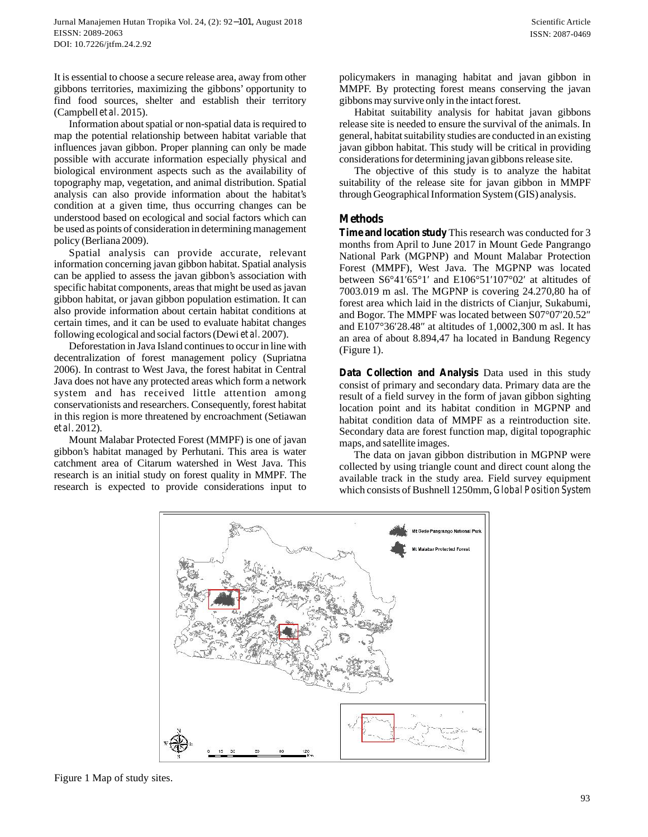Information about spatial or non-spatial data is required to map the potential relationship between habitat variable that influences javan gibbon. Proper planning can only be made possible with accurate information especially physical and biological environment aspects such as the availability of topography map, vegetation, and animal distribution. Spatial analysis can also provide information about the habitat's condition at a given time, thus occurring changes can be understood based on ecological and social factors which can be used as points of consideration in determining management policy (Berliana 2009).

Spatial analysis can provide accurate, relevant information concerning javan gibbon habitat. Spatial analysis can be applied to assess the javan gibbon's association with specific habitat components, areas that might be used as javan gibbon habitat, or javan gibbon population estimation. It can also provide information about certain habitat conditions at certain times, and it can be used to evaluate habitat changes following ecological and social factors (Dewi *et al.* 2007).

Deforestation in Java Island continues to occur in line with (Figure 1). decentralization of forest management policy (Supriatna 2006). In contrast to West Java, the forest habitat in Central 2006). In contrast to West Java, the forest habitat in Central **Data Collection and Analysis** Data used in this study<br>Java does not have any protected areas which form a network consist of primary and secondary data. Prima system and has received little attention among conservationists and researchers. Consequently, forest habitat in this region is more threatened by encroachment (Setiawan *et al*. 2012).

gibbon's habitat managed by Perhutani. This area is water catchment area of Citarum watershed in West Java. This research is an initial study on forest quality in MMPF. The research is expected to provide considerations input to policymakers in managing habitat and javan gibbon in MMPF. By protecting forest means conserving the javan gibbons may survive only in the intact forest.

Habitat suitability analysis for habitat javan gibbons release site is needed to ensure the survival of the animals. In general, habitat suitability studies are conducted in an existing javan gibbon habitat. This study will be critical in providing considerations for determining javan gibbons release site.

The objective of this study is to analyze the habitat suitability of the release site for javan gibbon in MMPF through Geographical Information System (GIS) analysis.

# **Methods**

**Time and location study** This research was conducted for 3 months from April to June 2017 in Mount Gede Pangrango National Park (MGPNP) and Mount Malabar Protection Forest (MMPF), West Java. The MGPNP was located between  $S6°4165°1$  and E106°51 107°02 at altitudes of 7003.019 m asl. The MGPNP is covering 24.270,80 ha of forest area which laid in the districts of Cianjur, Sukabumi, and Bogor. The MMPF was located between S07°07 20.52 and E107°36 28.48 at altitudes of 1,0002,300 m asl. I forest area which laid in the districts of Cianjur, Sukabumi, and Bogor. The MMPF was located between S07°07 20.52 and E107°36 28.48 at altitudes of 1,0002,300 m asl. It has an area of about 8.894,47 ha located in Bandung Regency

I. 2012).<br>Mount Malabar Protected Forest (MMPF) is one of javan<br>mans, and satellite images consist of primary and secondary data. Primary data are the result of a field survey in the form of javan gibbon sighting location point and its habitat condition in MGPNP and habitat condition data of MMPF as a reintroduction site. **Data Collection and Analysis** Data used in this study consist of primary and secondary data. Primary data are the result of a field survey in the form of javan gibbon sighting location point and its habitat condition in M maps, and satellite images.

The data on javan gibbon distribution in MGPNP were collected by using triangle count and direct count along the available track in the study area. Field survey equipment which consists of Bushnell 1250mm, *Global Position System*



Figure 1 Map of study sites.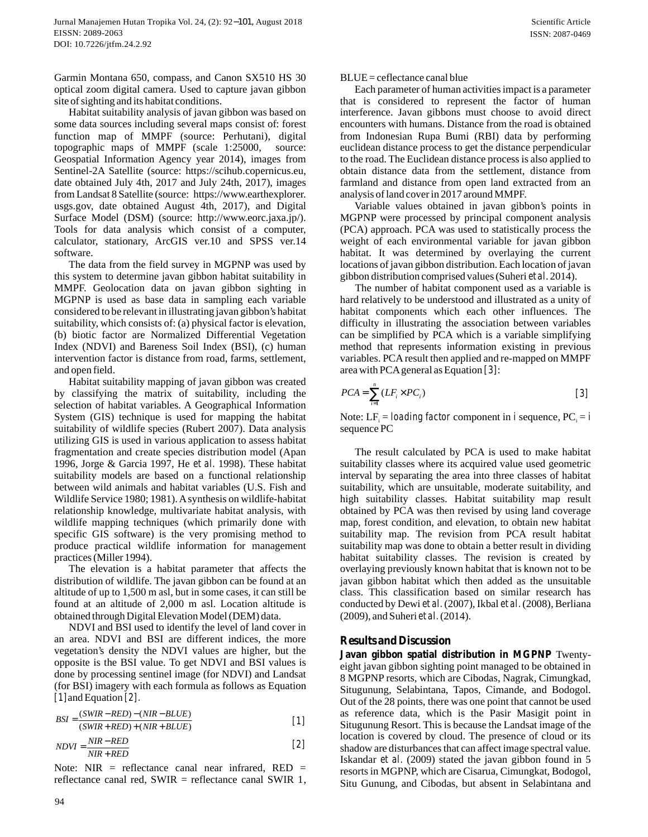Garmin Montana 650, compass, and Canon SX510 HS 30 optical zoom digital camera. Used to capture javan gibbon site of sighting and its habitat conditions.

Habitat suitability analysis of javan gibbon was based on Garmin Montana 650, compass, and Canon SX510 HS 30 optical zoom digital camera. Used to capture javan gibbon site of sighting and its habitat conditions.<br>Habitat suitability analysis of javan gibbon was based on some data Garmin Montana 650, compass, and Canon SX510 HS 30<br>optical zoom digital camera. Used to capture javan gibbon<br>site of sighting and its habitat conditions.<br>Habitat suitability analysis of javan gibbon was based on<br>some data topographic maps of MMPF (scale 1:25000, source: Geospatial Information Agency year 2014), images from Sentinel-2A Satellite (source: https://scihub.copernicus.eu, date obtained July 4th, 2017 and July 24th, 2017), images from Landsat 8 Satellite (source: https://www.earthexplorer. usgs.gov, date obtained August 4th, 2017), and Digital Surface Model (DSM) (source: http://www.eorc.jaxa.jp/). Tools for data analysis which consist of a computer, calculator, stationary, ArcGIS ver.10 and SPSS ver.14 software.

The data from the field survey in MGPNP was used by this system to determine javan gibbon habitat suitability in MMPF. Geolocation data on javan gibbon sighting in MGPNP is used as base data in sampling each variable considered to be relevant in illustrating javan gibbon's habitat suitability, which consists of: (a) physical factor is elevation, (b) biotic factor are Normalized Differential Vegetation Index (NDVI) and Bareness Soil Index (BSI), (c) human intervention factor is distance from road, farms, settlement, and open field.

 Habitat suitability mapping of javan gibbon was created by classifying the matrix of suitability, including the selection of habitat variables. A Geographical Information System (GIS) technique is used for mapping the habitat suitability of wildlife species (Rubert 2007). Data analysis utilizing GIS is used in various application to assess habitat fragmentation and create species distribution model (Apan 1996, Jorge & Garcia 1997, He et al. 1998). These habitat suitability models are based on a functional relationship between wild animals and habitat variables (U.S. Fish and Wildlife Service 1980; 1981). A synthesis on wildlife-habitat relationship knowledge, multivariate habitat analysis, with wildlife mapping techniques (which primarily done with specific GIS software) is the very promising method to produce practical wildlife information for management practices (Miller 1994).

 The elevation is a habitat parameter that affects the distribution of wildlife. The javan gibbon can be found at an altitude of up to 1,500 m asl, but in some cases, it can still be found at an altitude of 2,000 m asl. Location altitude is obtained through Digital Elevation Model (DEM) data.

NDVI and BSI used to identify the level of land cover in an area. NDVI and BSI are different indices, the more vegetation's density the NDVI values are higher, but the opposite is the BSI value. To get NDVI and BSI values is done by processing sentinel image (for NDVI) and Landsat (for BSI) imagery with each formula as follows as Equation an area. NDVI and BS.<br>vegetation's density the<br>opposite is the BSI value<br>done by processing sentit<br>(for BSI) imagery with ea<br>[1] and Equation [2].<br>RSI =  $\frac{(SWIR - RED) - (NIR - RED)}{R}$ 

| $BSI = \frac{(SWIR - RED) - (NIR - BLUE)}{(SWIR + RED) + (NIR + BLUE)}$ | [1] | as |
|-------------------------------------------------------------------------|-----|----|
| $NDVI = \frac{NIR - RED}{NIR + RED}$                                    | [2] | sh |
| Note: NIR = reflectance canal near infrared, RED =                      | [s] |    |
| reflectance canal red, SWIR = reflectance canal SWIR 1, Si              |     |    |

$$
NDVI = \frac{NIR - RED}{NIR + RED} \tag{2}
$$

 $BSI = \frac{(SWIR + RED) + (NIR + BLUE)}{(SWIR + RED) + (NIR + BLUE)}$  [1]<br>  $NDVI = \frac{NIR - RED}{NIR + RED}$  [2]  $\frac{1}{SMR + RED}$  [2]  $\frac{1}{SMR + RED}$ <br>
Note: NIR = reflectance canal near infrared, RED =  $\frac{1}{SMR + AD}$  (2)  $\frac{1}{SMR + RED}$  (2)  $\frac{1}{SMR + BED}$  (2)

 $BLUE = ceflectance$  canal blue

 Each parameter of human activities impact is a parameter that is considered to represent the factor of human interference. Javan gibbons must choose to avoid direct encounters with humans. Distance from the road is obtained from Indonesian Rupa Bumi (RBI) data by performing euclidean distance process to get the distance perpendicular to the road. The Euclidean distance process is also applied to obtain distance data from the settlement, distance from farmland and distance from open land extracted from an analysis of land cover in 2017 around MMPF.

 Variable values obtained in javan gibbon's points in MGPNP were processed by principal component analysis (PCA) approach. PCA was used to statistically process the weight of each environmental variable for javan gibbon habitat. It was determined by overlaying the current locations of javan gibbon distribution. Each location of javan gibbon distribution comprised values (Suheri *et al.* 2014).

The number of habitat component used as a variable is hard relatively to be understood and illustrated as a unity of habitat components which each other influences. The difficulty in illustrating the association between variables can be simplified by PCA which is a variable simplifying method that represents information existing in previous variables. PCA result then applied and re-mapped on MMPF area with PCA general as Equation [3]:

$$
PCA = \sum_{i=1}^{n} (LF_i \times PC_i)
$$
 [3]

Note: LF  $_i =$  *loading factor* component in *i* sequence,  $PC_i = i$ sequence PC

 The result calculated by PCA is used to make habitat suitability classes where its acquired value used geometric interval by separating the area into three classes of habitat suitability, which are unsuitable, moderate suitability, and high suitability classes. Habitat suitability map result obtained by PCA was then revised by using land coverage map, forest condition, and elevation, to obtain new habitat suitability map. The revision from PCA result habitat suitability map was done to obtain a better result in dividing habitat suitability classes. The revision is created by overlaying previously known habitat that is known not to be javan gibbon habitat which then added as the unsuitable class. This classification based on similar research has suitability map was done to obtain a better result in dividing<br>habitat suitability classes. The revision is created by<br>overlaying previously known habitat that is known not to be<br>javan gibbon habitat which then added as th  $(2009)$ , and Suheri *et al.*  $(2014)$ .

# **Results and Discussion**

**Javan gibbon spatial distribution in MGPNP** Twentyeight javan gibbon sighting point managed to be obtained in 8 MGPNP resorts, which are Cibodas, Nagrak, Cimungkad, Situgunung, Selabintana, Tapos, Cimande, and Bodogol. Out of the 28 points, there was one point that cannot be used as reference data, which is the Pasir Masigit point in Situgunung Resort. This is because the Landsat image of the location is covered by cloud. The presence of cloud or its shadow are disturbances that can affect image spectral value. Iskandar et al. (2009) stated the javan gibbon found in 5 resorts in MGPNP, which are Cisarua, Cimungkat, Bodogol, Situ Gunung, and Cibodas, but absent in Selabintana and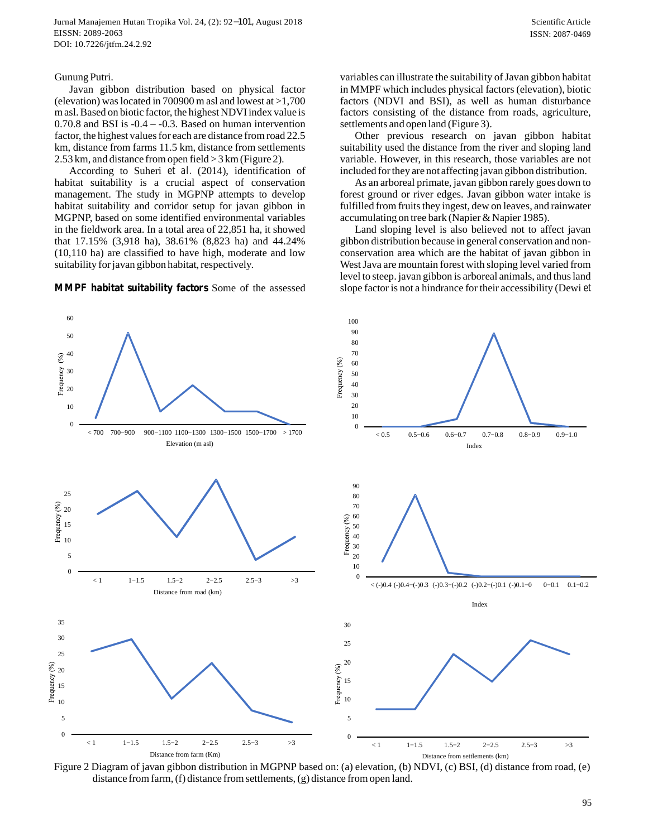#### Gunung Putri.

 Javan gibbon distribution based on physical factor (elevation) was located in 700900 m asl and lowest at  $>1,700$ m asl. Based on biotic factor, the highest NDVI index value is 0.70.8 and BSI is -0.4 – -0.3. Based on human intervention factor, the highest values for each are distance from road 22.5 km, distance from farms 11.5 km, distance from settlements 2.53 km, and distance from open field > 3 km (Figure 2).

According to Suheri et al. (2014), identification of habitat suitability is a crucial aspect of conservation management. The study in MGPNP attempts to develop habitat suitability and corridor setup for javan gibbon in MGPNP, based on some identified environmental variables in the fieldwork area. In a total area of 22,851 ha, it showed that 17.15% (3,918 ha), 38.61% (8,823 ha) and 44.24% (10,110 ha) are classified to have high, moderate and low suitability for javan gibbon habitat, respectively.

**MMPF habitat suitability factors** Some of the assessed

variables can illustrate the suitability of Javan gibbon habitat in MMPF which includes physical factors (elevation), biotic factors (NDVI and BSI), as well as human disturbance factors consisting of the distance from roads, agriculture, settlements and open land (Figure 3).

 Other previous research on javan gibbon habitat suitability used the distance from the river and sloping land variable. However, in this research, those variables are not included for they are not affecting javan gibbon distribution.

 As an arboreal primate, javan gibbon rarely goes down to forest ground or river edges. Javan gibbon water intake is fulfilled from fruits they ingest, dew on leaves, and rainwater accumulating on tree bark (Napier & Napier 1985).

 Land sloping level is also believed not to affect javan gibbon distribution because in general conservation and nonconservation area which are the habitat of javan gibbon in West Java are mountain forest with sloping level varied from level to steep. javan gibbon is arboreal animals, and thus land slope factor is not a hindrance for their accessibility (Dewi *et*

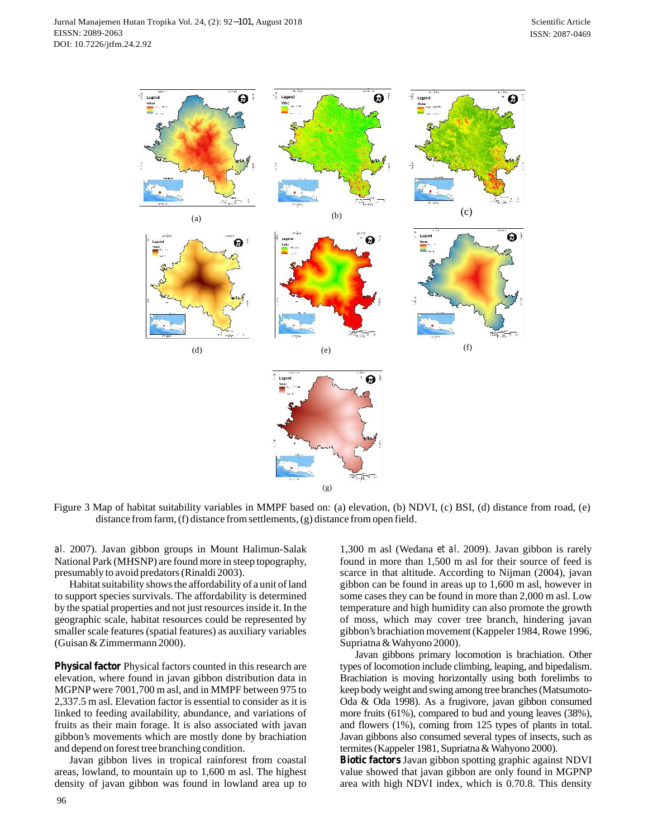

Figure 3 Map of habitat suitability variables in MMPF based on: (a) elevation, (b) NDVI, (c) BSI, (d) distance from road, (e) distance from farm, (f) distance from settlements, (g) distance from open field.

*al.* 2007). Javan gibbon groups in Mount Halimun-Salak National Park (MHSNP) are found more in steep topography, presumably to avoid predators (Rinaldi 2003).

Habitat suitability shows the affordability of a unit of land to support species survivals. The affordability is determined by the spatial properties and not just resources inside it. In the geographic scale, habitat resources could be represented by smaller scale features (spatial features) as auxiliary variables (Guisan & Zimmermann 2000).

**Physical factor** Physical factors counted in this research are elevation, where found in javan gibbon distribution data in MGPNP were 7001,700 m asl, and in MMPF between 975 to 2,337.5 m asl. Elevation factor is essential to consider as it is linked to feeding availability, abundance, and variations of fruits as their main forage. It is also associated with javan gibbon's movements which are mostly done by brachiation and depend on forest tree branching condition.

 Javan gibbon lives in tropical rainforest from coastal areas, lowland, to mountain up to 1,600 m asl. The highest density of javan gibbon was found in lowland area up to

1,300 m asl (Wedana *et al.* 2009). Javan gibbon is rarely found in more than 1,500 m asl for their source of feed is scarce in that altitude. According to Nijman (2004), javan gibbon can be found in areas up to 1,600 m asl, however in some cases they can be found in more than 2,000 m asl. Low temperature and high humidity can also promote the growth of moss, which may cover tree branch, hindering javan gibbon's brachiation movement (Kappeler 1984, Rowe 1996, Supriatna & Wahyono 2000). some cases they can be found in more than 2,000 m asl. Low<br>temperature and high humidity can also promote the growth<br>of moss, which may cover tree branch, hindering javan<br>gibbon's brachiation movement (Kappeler 1984, Rowe

types of locomotion include climbing, leaping, and bipedalism. Brachiation is moving horizontally using both forelimbs to keep body weight and swing among tree branches (Matsumoto-Supriatna & Wahyono 2000).<br>
Javan gibbons primary locomotion is brachiation. Other<br>
types of locomotion include climbing, leaping, and bipedalism.<br>
Brachiation is moving horizontally using both forelimbs to<br>
keep body weig more fruits (61%), compared to bud and young leaves (38%), and flowers (1%), coming from 125 types of plants in total. Javan gibbons also consumed several types of insects, such as Oda & Oda 1998). As a frugivore, javan gibbon consumed more fruits (61%), compared to bud and young leaves (38%), and flowers (1%), coming from 125 types of plants in total. Javan gibbons also consumed several types of ins

value showed that javan gibbon are only found in MGPNP area with high NDVI index, which is 0.70.8. This density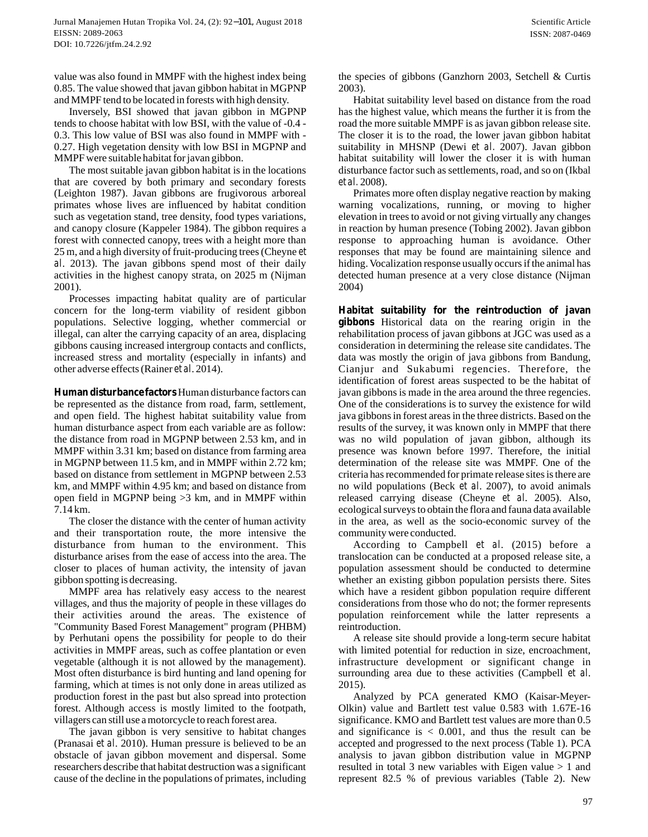value was also found in MMPF with the highest index being 0.85. The value showed that javan gibbon habitat in MGPNP and MMPF tend to be located in forests with high density.

 Inversely, BSI showed that javan gibbon in MGPNP tends to choose habitat with low BSI, with the value of -0.4 - 0.3. This low value of BSI was also found in MMPF with - 0.27. High vegetation density with low BSI in MGPNP and MMPF were suitable habitat for javan gibbon.

The most suitable javan gibbon habitat is in the locations that are covered by both primary and secondary forests (Leighton 1987). Javan gibbons are frugivorous arboreal<br>primates whose lives are influenced by habitat condition<br>such as vegetation stand, tree density, food types variations,<br>and canopy closure (Kappeler 1984). The gibbon primates whose lives are influenced by habitat condition such as vegetation stand, tree density, food types variations, and canopy closure (Kappeler 1984). The gibbon requires a forest with connected canopy, trees with a height more than primates whose lives are influenced by habitat condition<br>such as vegetation stand, tree density, food types variations,<br>and canopy closure (Kappeler 1984). The gibbon requires a<br>forest with connected canopy, trees with a h such as vegetation stand, tree density, food types variations,<br>
and canopy closure (Kappeler 1984). The gibbon requires a<br>
forest with connected canopy, trees with a height more than<br>
25 m, and a high diversity of fruit-pr 2001).

 Processes impacting habitat quality are of particular concern for the long-term viability of resident gibbon populations. Selective logging, whether commercial or illegal, can alter the carrying capacity of an area, displacing gibbons causing increased intergroup contacts and conflicts, increased stress and mortality (especially in infants) and other adverse effects (Rainer *et al.* 2014).

**Human disturbance factors** Human disturbance factors can be represented as the distance from road, farm, settlement, and open field. The highest habitat suitability value from human disturbance aspect from each variable are as follow: the distance from road in MGPNP between 2.53 km, and in MMPF within 3.31 km; based on distance from farming area in MGPNP between 11.5 km, and in MMPF within 2.72 km; based on distance from settlement in MGPNP between 2.53 km, and MMPF within 4.95 km; and based on distance from open field in MGPNP being >3 km, and in MMPF within 7.14 km.

 The closer the distance with the center of human activity and their transportation route, the more intensive the disturbance from human to the environment. This disturbance arises from the ease of access into the area. The closer to places of human activity, the intensity of javan gibbon spotting is decreasing.

 MMPF area has relatively easy access to the nearest villages, and thus the majority of people in these villages do their activities around the areas. The existence of "Community Based Forest Management" program (PHBM) by Perhutani opens the possibility for people to do their activities in MMPF areas, such as coffee plantation or even vegetable (although it is not allowed by the management). Most often disturbance is bird hunting and land opening for farming, which at times is not only done in areas utilized as production forest in the past but also spread into protection forest. Although access is mostly limited to the footpath, villagers can still use a motorcycle to reach forest area.

The javan gibbon is very sensitive to habitat changes (Pranasai et al. 2010). Human pressure is believed to be an obstacle of javan gibbon movement and dispersal. Some researchers describe that habitat destruction was a significant cause of the decline in the populations of primates, including the species of gibbons (Ganzhorn 2003, Setchell & Curtis 2003).

 Habitat suitability level based on distance from the road has the highest value, which means the further it is from the road the more suitable MMPF is as javan gibbon release site. The closer it is to the road, the lower javan gibbon habitat suitability in MHSNP (Dewi et al. 2007). Javan gibbon habitat suitability will lower the closer it is with human disturbance factor such as settlements, road, and so on (Ikbal *et al.* 2008).

 Primates more often display negative reaction by making warning vocalizations, running, or moving to higher elevation in trees to avoid or not giving virtually any changes in reaction by human presence (Tobing 2002). Javan gibbon response to approaching human is avoidance. Other responses that may be found are maintaining silence and hiding. Vocalization response usually occurs if the animal has detected human presence at a very close distance (Nijman 2004)

**Habitat suitability for the reintroduction of javan gibbons** Historical data on the rearing origin in the rehabilitation process of javan gibbons at JGC was used as a consideration in determining the release site candidates. The data was mostly the origin of java gibbons from Bandung, Cianjur and Sukabumi regencies. Therefore, the identification of forest areas suspected to be the habitat of javan gibbons is made in the area around the three regencies. One of the considerations is to survey the existence for wild java gibbons in forest areas in the three districts. Based on the results of the survey, it was known only in MMPF that there was no wild population of javan gibbon, although its presence was known before 1997. Therefore, the initial determination of the release site was MMPF. One of the criteria has recommended for primate release sites is there are no wild populations (Beck et al. 2007), to avoid animals released carrying disease (Cheyne et al. 2005). Also, ecological surveys to obtain the flora and fauna data available in the area, as well as the socio-economic survey of the community were conducted.

According to Campbell et al. (2015) before a translocation can be conducted at a proposed release site, a population assessment should be conducted to determine whether an existing gibbon population persists there. Sites which have a resident gibbon population require different considerations from those who do not; the former represents population reinforcement while the latter represents a reintroduction.

 A release site should provide a long-term secure habitat with limited potential for reduction in size, encroachment, infrastructure development or significant change in surrounding area due to these activities (Campbell *et al.* 2015). with limited potential for reduction in size, encroachment,<br>infrastructure development or significant change in<br>surrounding area due to these activities (Campbell *et al.*<br>2015).<br>Analyzed by PCA generated KMO (Kaisar-Meyer

 Analyzed by PCA generated KMO (Kaisar-Meyersignificance. KMO and Bartlett test values are more than 0.5 and significance is  $< 0.001$ , and thus the result can be accepted and progressed to the next process (Table 1). PCA analysis to javan gibbon distribution value in MGPNP resulted in total 3 new variables with Eigen value > 1 and represent 82.5 % of previous variables (Table 2). New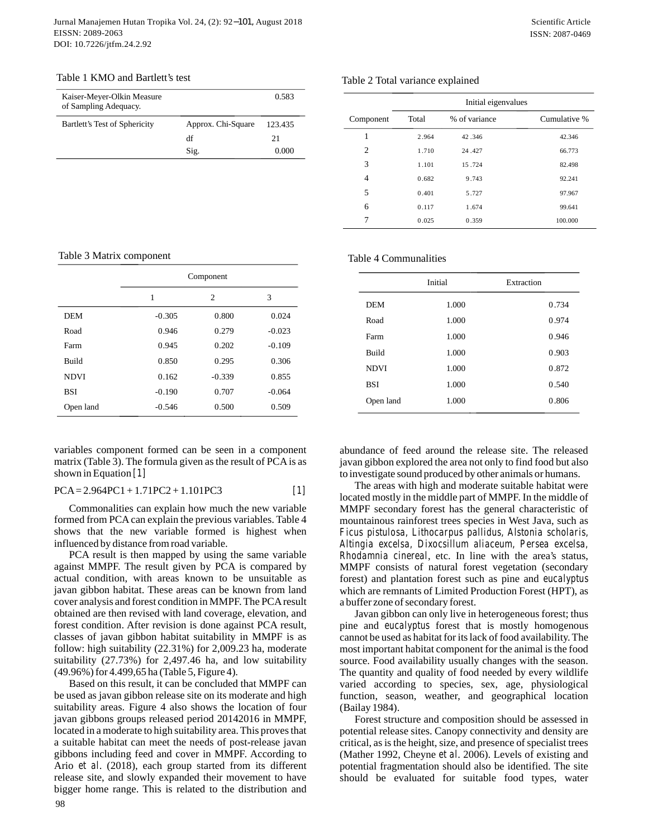#### Table 1 KMO and Bartlett's test

| Table 1 KMO and Bartlett's test                     |                    |         |
|-----------------------------------------------------|--------------------|---------|
| Kaiser-Meyer-Olkin Measure<br>of Sampling Adequacy. |                    | 0.583   |
| Bartlett's Test of Sphericity                       | Approx. Chi-Square | 123.435 |
|                                                     | df                 | 21      |
|                                                     | Sig.               | 0.000   |

#### Table 2 Total variance explained

|                | Initial eigenvalues |               |              |
|----------------|---------------------|---------------|--------------|
| Component      | Total               | % of variance | Cumulative % |
| 1              | 2.964               | 42.346        | 42.346       |
| $\overline{c}$ | 1.710               | 24.427        | 66.773       |
| 3              | 1.101               | 15.724        | 82.498       |
| $\overline{4}$ | 0.682               | 9.743         | 92.241       |
| 5              | 0.401               | 5.727         | 97.967       |
| 6              | 0.117               | 1.674         | 99.641       |
| 7              | 0.025               | 0.359         | 100.000      |

Table 3 Matrix component

|              | Component |                |          |
|--------------|-----------|----------------|----------|
|              | 1         | $\overline{c}$ | 3        |
| <b>DEM</b>   | $-0.305$  | 0.800          | 0.024    |
| Road         | 0.946     | 0.279          | $-0.023$ |
| Farm         | 0.945     | 0.202          | $-0.109$ |
| <b>Build</b> | 0.850     | 0.295          | 0.306    |
| <b>NDVI</b>  | 0.162     | $-0.339$       | 0.855    |
| <b>BSI</b>   | $-0.190$  | 0.707          | $-0.064$ |
| Open land    | $-0.546$  | 0.500          | 0.509    |

variables component formed can be seen in a component matrix (Table 3). The formula given as the result of PCA is as shown in Equation *[1]*

$$
PCA = 2.964PC1 + 1.71PC2 + 1.101PC3
$$
 [1]

 Commonalities can explain how much the new variable formed from PCA can explain the previous variables. Table 4 shows that the new variable formed is highest when influenced by distance from road variable.

 PCA result is then mapped by using the same variable against MMPF. The result given by PCA is compared by actual condition, with areas known to be unsuitable as javan gibbon habitat. These areas can be known from land cover analysis and forest condition in MMPF. The PCA result obtained are then revised with land coverage, elevation, and forest condition. After revision is done against PCA result, classes of javan gibbon habitat suitability in MMPF is as follow: high suitability (22.31%) for 2,009.23 ha, moderate suitability (27.73%) for 2,497.46 ha, and low suitability (49.96%) for 4.499,65 ha (Table 5, Figure 4).

 Based on this result, it can be concluded that MMPF can be used as javan gibbon release site on its moderate and high suitability areas. Figure 4 also shows the location of four javan gibbons groups released period 20142016 in MMPF, located in a moderate to high suitability area. This proves that a suitable habitat can meet the needs of post-release javan gibbons including feed and cover in MMPF. According to Ario et al. (2018), each group started from its different release site, and slowly expanded their movement to have bigger home range. This is related to the distribution and

| Table 4 Communalities |  |
|-----------------------|--|
|-----------------------|--|

|              | Initial | Extraction |
|--------------|---------|------------|
| <b>DEM</b>   | 1.000   | 0.734      |
| Road         | 1.000   | 0.974      |
| Farm         | 1.000   | 0.946      |
| <b>Build</b> | 1.000   | 0.903      |
| <b>NDVI</b>  | 1.000   | 0.872      |
| <b>BSI</b>   | 1.000   | 0.540      |
| Open land    | 1.000   | 0.806      |

abundance of feed around the release site. The released javan gibbon explored the area not only to find food but also to investigate sound produced by other animals or humans.

The areas with high and moderate suitable habitat were located mostly in the middle part of MMPF. In the middle of MMPF secondary forest has the general characteristic of mountainous rainforest trees species in West Java, such as *Ficus pistulosa, Lithocarpus pallidus, Alstonia scholaris, Altingia excelsa, Dixocsillum aliaceum, Persea excelsa, Rhodamnia cinereal*, etc. In line with the area's status, MMPF consists of natural forest vegetation (secondary forest) and plantation forest such as pine and *eucalyptus* which are remnants of Limited Production Forest (HPT), as a buffer zone of secondary forest.

 Javan gibbon can only live in heterogeneous forest; thus pine and *eucalyptus* forest that is mostly homogenous cannot be used as habitat for its lack of food availability. The most important habitat component for the animal is the food source. Food availability usually changes with the season. The quantity and quality of food needed by every wildlife varied according to species, sex, age, physiological function, season, weather, and geographical location (Bailay 1984).

 Forest structure and composition should be assessed in potential release sites. Canopy connectivity and density are critical, as is the height, size, and presence of specialist trees (Mather 1992, Cheyne *et al.* 2006). Levels of existing and potential fragmentation should also be identified. The site should be evaluated for suitable food types, water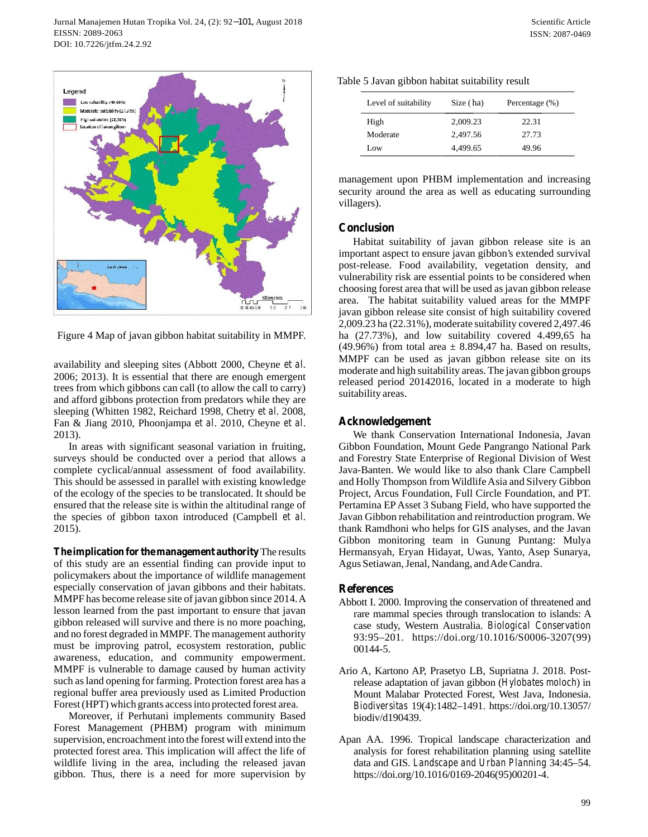

Figure 4 Map of javan gibbon habitat suitability in MMPF.

availability and sleeping sites (Abbott 2000, Cheyne et al. 2006; 2013). It is essential that there are enough emergent trees from which gibbons can call (to allow the call to carry) and afford gibbons protection from predators while they are sleeping (Whitten 1982, Reichard 1998, Chetry et al. 2008, availability and sleeping sites (Abbott 2000, Cheyne *et al.* 2006; 2013). It is essential that there are enough emergent trees from which gibbons can call (to allow the call to carry) and afford gibbons protection from pr 2013).

 In areas with significant seasonal variation in fruiting, surveys should be conducted over a period that allows a complete cyclical/annual assessment of food availability. This should be assessed in parallel with existing knowledge of the ecology of the species to be translocated. It should be ensured that the release site is within the altitudinal range of the species of gibbon taxon introduced (Campbell et al. 2015).

**The implication for the management authority** The results of this study are an essential finding can provide input to policymakers about the importance of wildlife management especially conservation of javan gibbons and their habitats. MMPF has become release site of javan gibbon since 2014. A lesson learned from the past important to ensure that javan gibbon released will survive and there is no more poaching, and no forest degraded in MMPF. The management authority must be improving patrol, ecosystem restoration, public awareness, education, and community empowerment. MMPF is vulnerable to damage caused by human activity such as land opening for farming. Protection forest area has a regional buffer area previously used as Limited Production Forest (HPT) which grants access into protected forest area.

Moreover, if Perhutani implements community Based Forest Management (PHBM) program with minimum supervision, encroachment into the forest will extend into the protected forest area. This implication will affect the life of wildlife living in the area, including the released javan gibbon. Thus, there is a need for more supervision by

| Level of suitability | Size (ha) | Percentage (%) |
|----------------------|-----------|----------------|
| High                 | 2,009.23  | 22.31          |
| Moderate             | 2.497.56  | 27.73          |
| Low                  | 4.499.65  | 49.96          |

management upon PHBM implementation and increasing security around the area as well as educating surrounding villagers).

# **Conclusion**

 Habitat suitability of javan gibbon release site is an important aspect to ensure javan gibbon's extended survival post-release. Food availability, vegetation density, and vulnerability risk are essential points to be considered when choosing forest area that will be used as javan gibbon release area. The habitat suitability valued areas for the MMPF javan gibbon release site consist of high suitability covered 2,009.23 ha (22.31%), moderate suitability covered 2,497.46 ha (27.73%), and low suitability covered 4.499,65 ha (49.96%) from total area  $\pm$  8.894,47 ha. Based on results, MMPF can be used as javan gibbon release site on its moderate and high suitability areas. The javan gibbon groups released period 20142016, located in a moderate to high suitability areas.

# **Acknowledgement**

We thank Conservation International Indonesia, Javan Gibbon Foundation, Mount Gede Pangrango National Park and Forestry State Enterprise of Regional Division of West Java-Banten. We would like to also thank Clare Campbell and Holly Thompson from Wildlife Asia and Silvery Gibbon Project, Arcus Foundation, Full Circle Foundation, and PT. Pertamina EP Asset 3 Subang Field, who have supported the Javan Gibbon rehabilitation and reintroduction program. We thank Ramdhoni who helps for GIS analyses, and the Javan Gibbon monitoring team in Gunung Puntang: Mulya Hermansyah, Eryan Hidayat, Uwas, Yanto, Asep Sunarya, Agus Setiawan, Jenal, Nandang, and Ade Candra.

# **References**

- Abbott I. 2000. Improving the conservation of threatened and rare mammal species through translocation to islands: A 93:95–201. https://doi.org/10.1016/S0006-3207(99) 00144-5.
- case study, Western Australia. *Biological Conservation*<br>
93:95–201. https://doi.org/10.1016/S0006-3207(99)<br>
00144-5.<br>
20 A, Kartono AP, Prasetyo LB, Supriatna J. 2018. Post-<br>
release adaptation of javan gibbon (*Hylobates* Ario A, Kartono AP, Prasetyo LB, Supriatna J. 2018. Post-Mount Malabar Protected Forest, West Java, Indonesia. release adaptation of javan gibbon (*Hylobates moloch*) in Mount Malabar Protected Forest, West Java, Indonesia.<br>*Biodiversitas* 19(4):1482–1491. https://doi.org/10.13057/ biodiv/d190439.
- Apan AA. 1996. Tropical landscape characterization and analysis for forest rehabilitation planning using satellite data and GIS. *Landscape and Urban Planning* 34:45–54. https://doi.org/10.1016/0169-2046(95)00201-4.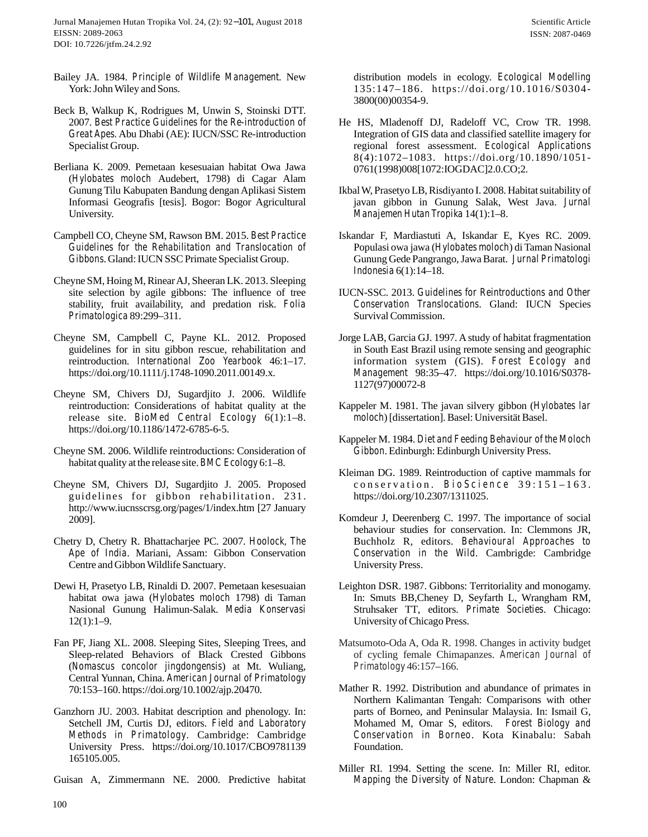- Bailey JA. 1984. Principle of Wildlife Management. New York: John Wiley and Sons.
- Beck B, Walkup K, Rodrigues M, Unwin S, Stoinski DTT. 2007. *Best Practice Guidelines for the Re-introduction of Great Apes.* Abu Dhabi (AE): IUCN/SSC Re-introduction Specialist Group.
- Berliana K. 2009. Pemetaan kesesuaian habitat Owa Jawa (2007. *Best Practice Guidelines for the Re-introduction of* He Hindred Contract Apes. Abu Dhabi (AE): IUCN/SSC Re-introduction Interpresentation Specialist Group.<br>
Specialist Group. The regular and the sessuaian habitat O Specialist Group.<br>
Ilana K. 2009. Pemetaan kesesuaian habitat Owa Jawa<br>
(*Hylobates moloch* Audebert, 1798) di Cagar Alam<br>
Gunung Tilu Kabupaten Bandung dengan Aplikasi Sistem<br>
Informasi Geografis [tesis]. Bogor: Bogor Agr University. (*Hylobates moloch* Audebert, 1798) di Cagar Alam<br>
Gunung Tilu Kabupaten Bandung dengan Aplikasi Sistem<br>
Informasi Geografis [tesis]. Bogor: Bogor Agricultural<br>
University.<br>
Campbell CO, Cheyne SM, Rawson BM. 2015. *Best P*
- *Guidelines for the Rehabilitation and Translocation of Gibbons*. Gland: IUCN SSC Primate Specialist Group.
- Cheyne SM, Hoing M, Rinear AJ, Sheeran LK. 2013. Sleeping mpbell CO, Cheyne SM, Rawson BM. 2015. *Best Practice*<br>
Guidelines for the Rehabilitation and Translocation of<br>
Gibbons. Gland: IUCN SSC Primate Specialist Group.<br>
syne SM, Hoing M, Rinear AJ, Sheeran LK. 2013. Sleeping<br>
s Guidelines for the Rehabilitation and Translocation of Gibbons. Gland: IUCN SSC Primate Specialist Group.<br>
syne SM, Hoing M, Rinear AJ, Sheeran LK. 2013. Sleeping<br>
site selection by agile gibbons: The influence of tree<br>
st *Gibbons*. Gland: IUCN SSC Primate Specialist Group.<br>
Cheyne SM, Hoing M, Rinear AJ, Sheeran LK. 2013. Sleeping<br>
site selection by agile gibbons: The influence of tree<br>
stability, fruit availability, and predation risk. *F*
- guidelines for in situ gibbon rescue, rehabilitation and stability, fruit availability, and predation risk. *Folia*<br>*Primatologica* 89:299–311.<br>eyne SM, Campbell C, Payne KL. 2012. Proposed<br>guidelines for in situ gibbon rescue, rehabilitation and<br>reintroduction. *International Z* https://doi.org/10.1111/j.1748-1090.2011.00149.x.
- Cheyne SM, Chivers DJ, Sugardjito J. 2006. Wildlife reintroduction. *International Zoo Yearbook* 46:1–17.<br>https://doi.org/10.1111/j.1748-1090.2011.00149.x.<br>syne SM, Chivers DJ, Sugardjito J. 2006. Wildlife<br>reintroduction: Considerations of habitat quality at the<br>release sit https://doi.org/10.1186/1472-6785-6-5. reintroduction: Considerations of habitat quality at the<br>release site. *BioMed Central Ecology* 6(1):1–8.<br>https://doi.org/10.1186/1472-6785-6-5.<br>Cheyne SM. 2006. Wildlife reintroductions: Consideration of<br>habitat quality a
- Cheyne SM. 2006. Wildlife reintroductions: Consideration of
- guidelines for the element of the books of the synchromagnet of the pelase site *BMC Ecology* 6:1–8.<br>eyne SM, Chivers DJ, Sugardjito J. 2005. Proposed guidelines for gibbon rehabilitation. 231.<br>http://www.iucnsscrsg.org/pa http://www.iucnsscrsg.org/pages/1/index.htm [27 January 2009].
- *Ape of India*. Mariani, Assam: Gibbon Conservation Centre and Gibbon Wildlife Sanctuary.
- Chetry D, Chetry R. Bhattacharjee PC. 2007. *Hoolock, The*<br> *Ape of India*. Mariani, Assam: Gibbon Conservation<br>
Centre and Gibbon Wildlife Sanctuary.<br>
Dewi H, Prasetyo LB, Rinaldi D. 2007. Pemetaan kesesuaian<br>
habitat owa Nasional Gunung Halimun-Salak. *Media Konservasi* Centre and Gibbon Wildlife Sanctuary.<br>
Dewi H, Prasetyo LB, Rinaldi D. 2007. Pemetaan kesesuaian<br>
habitat owa jawa (*Hylobates moloch* 1798) di Taman<br>
Nasional Gunung Halimun-Salak. *Media Konservasi*<br>
12(1):1–9.<br>
Fan PF, habitat owa jawa (*Hylobates moloch 1798*) di Taman<br>Nasional Gunung Halimun-Salak. *Media Konservasi*<br>12(1):1–9.<br>Fan PF, Jiang XL. 2008. Sleeping Sites, Sleeping Trees, and<br>Sleep-related Behaviors of Black Crested Gibbons<br>
- Sleep-related Behaviors of Black Crested Gibbons Central Yunnan, China. *American Journal of Primatology* 70:153–160. https://doi.org/10.1002/ajp.20470.
- Ganzhorn JU. 2003. Habitat description and phenology. In: Setchell JM, Curtis DJ, editors. *Field and Laboratory Methods in Primatology*. Cambridge: Cambridge University Press. https://doi.org/10.1017/CBO9781139 165105.005.
- Guisan A, Zimmermann NE. 2000. Predictive habitat

distribution models in ecology. *Ecological Modelling* 135:147–186. https://doi.org/10.1016/S0304- 3800(00)00354-9.

- He HS, Mladenoff DJ, Radeloff VC, Crow TR. 1998. Integration of GIS data and classified satellite imagery for regional forest assessment. *Ecological Applications* 3800(00)00354-9.<br>
HS, Mladenoff DJ, Radeloff VC, Crow TR. 1998.<br>
Integration of GIS data and classified satellite imagery for<br>
regional forest assessment. *Ecological Applications*<br>
8(4):1072–1083. https://doi.org/10.1890/ 0761(1998)008[1072:IOGDAC]2.0.CO;2. 8(4):1072-1083. https://doi.org/10.1890/1051-
- javan gibbon in Gunung Salak, West Java. *Jurnal*
- Ikbal W, Prasetyo LB, Risdiyanto I. 2008. Habitat suitability of<br>
javan gibbon in Gunung Salak, West Java. *Jurnal*<br> *Manajemen Hutan Tropika* 14(1):1–8.<br>
Iskandar F, Mardiastuti A, Iskandar E, Kyes RC. 2009.<br>
Populasi owa Iskandar F, Mardiastuti A, Iskandar E, Kyes RC. 2009. Gunung Gede Pangrango, Jawa Barat. *Jurnal Primatologi Manajemen Hutan Tropika* 14(1):1–8.<br>
andar F, Mardiastuti A, Iskandar E, Kyes RC. 2009.<br>
Populasi owa jawa (*Hylobates moloch*) di Taman Nasional<br>
Gunung Gede Pangrango, Jawa Barat. *Jurnal Primatologi*<br> *Indonesia* 6(1): Populasi owa jawa (*Hylobates moloch*) di Taman Nasional<br>Gunung Gede Pangrango, Jawa Barat. *Jurnal Primatologi*<br>*Indonesia* 6(1):14–18.<br>CN-SSC. 2013. *Guidelines for Reintroductions and Other*<br>*Conservation Translocations*
- IUCN-SSC. 2013. *Guidelines for Reintroductions and Other* Survival Commission.
- Jorge LAB, Garcia GJ. 1997. A study of habitat fragmentation in South East Brazil using remote sensing and geographic information system (GIS). *Forest Ecology and* Survival Commission.<br> *ge* LAB, Garcia GJ. 1997. A study of habitat fragmentation<br>
in South East Brazil using remote sensing and geographic<br>
information system (GIS). *Forest Ecology and*<br> *Management* 98:35–47. https://do 1127(97)00072-8 in South East Brazil using remote sensing and geographic<br>information system (GIS). *Forest Ecology and*<br>*Management* 98:35–47. https://doi.org/10.1016/S0378-<br>1127(97)00072-8<br>Kappeler M. 1981. The javan silvery gibbon (*Hyl* information system (GIS). *Forest Ecology*<br> *Management* 98:35–47. https://doi.org/10.1016/S<br>
1127(97)00072-8<br>
ppeler M. 1981. The javan silvery gibbon (*Hylobat*<br> *moloch*) [dissertation]. Basel: Universität Basel.<br>
ppele
- reintroduction: Considerations of habitat quality at the Kappeler M. 1981. The javan silvery gibbon (Hylobates lar
	- Kappeler M. 1984. *Diet and Feeding Behaviour of the Moloch Gibbon*. Edinburgh: Edinburgh University Press.
	- Kleiman DG. 1989. Reintroduction of captive mammals for ppeler M. 1984. *Diet and Feeding Behaviour of the Moloch*<br>Gibbon. Edinburgh: Edinburgh University Press.<br>iman DG. 1989. Reintroduction of captive mammals for<br>c o n s e r v a t i o n . B i o S c i e n c e 39:151-163.<br>https https://doi.org/10.2307/1311025.
	- Komdeur J, Deerenberg C. 1997. The importance of social behaviour studies for conservation. In: Clemmons JR, Buchholz R, editors. *Behavioural Approaches to Conservation in the Wild*. Cambrigde: Cambridge University Press. behaviour studies for conservation. In: Clemmons JR,<br>Buchholz R, editors. *Behavioural Approaches to*<br>Conservation in the Wild. Cambrigde: Cambridge<br>University Press.<br>Leighton DSR. 1987. Gibbons: Territoriality and monogam
- Dewi H, Prasetyo LB, Rinaldi D. 2007. Pemetaan kesesuaian Buchholz R, editors. *Behavioural Approaches to*<br>Conservation in the Wild. Cambrigde: Cambridge<br>University Press.<br>ghton DSR. 1987. Gibbons: Territoriality and monogamy.<br>In: Smuts BB,Cheney D, Seyfarth L, Wrangham RM,<br>Struh Conservation in the Wild. Cambrigde: Cambridge<br>University Press.<br>ghton DSR. 1987. Gibbons: Territoriality and monogamy.<br>In: Smuts BB,Cheney D, Seyfarth L, Wrangham RM,<br>Struhsaker TT, editors. *Primate Societies*. Chicago:<br> Leighton DSR. 1987. Gibbons: Territoriality and monogamy.<br>
In: Smuts BB,Cheney D, Seyfarth L, Wrangham RM,<br>
Struhsaker TT, editors. *Primate Societies*. Chicago:<br>
University of Chicago Press.<br>
Matsumoto-Oda A, Oda R. 1998.
	- of cycling female Chimapanzes. *American Journal of Primate Societies.* Chicago:<br> *Primate Societies.* Chicago:<br> *Primatology* 46:157-166.<br> *Primatology* 46:157-166.<br> *Mather R. 1992. Distribution and abundance of primates in Northern Kalimantan Tengah: Comparisons with ot*
	- Northern Kalimantan Tengah: Comparisons with other of cycling female Chimapanzes. *American Journal of*<br> *Primatology* 46:157–166.<br>
	ther R. 1992. Distribution and abundance of primates in<br>
	Northern Kalimantan Tengah: Comparisons with other<br>
	parts of Borneo, and Peninsular Mohamed M, Omar S, editors. Forest Biology and *Conservation in Borneo*. Kota Kinabalu: Sabah Foundation.
	- Miller RI. 1994. Setting the scene. In: Miller RI, editor. *Mapping the Diversity of Nature*. London: Chapman &